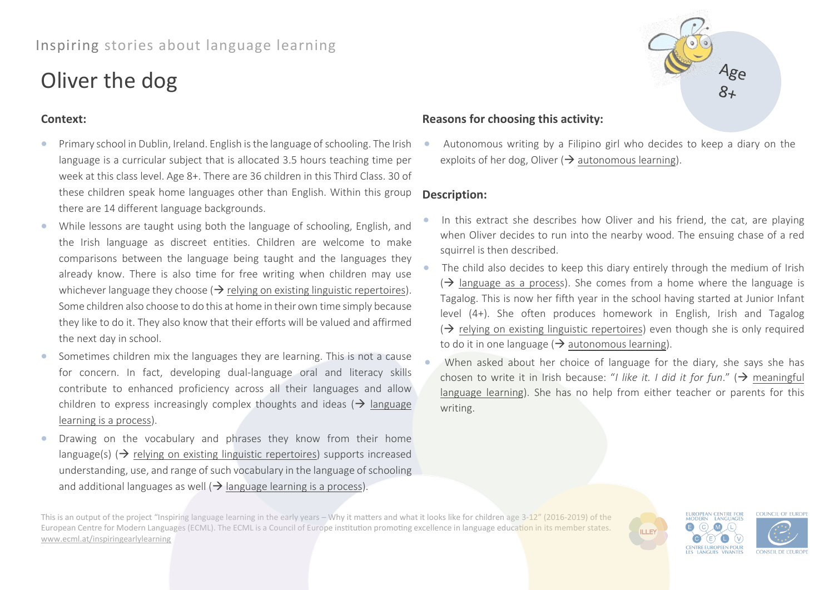# Inspiring stories about language learning

# Oliver the dog

### **Context:**

- Primary school in Dublin, Ireland. English is the language of schooling. The Irish language is a curricular subject that is allocated 3.5 hours teaching time per week at this class level. Age 8+. There are 36 children in this Third Class. 30 of these children speak home languages other than English. Within this group there are 14 different language backgrounds.
- While lessons are taught using both the language of schooling, English, and the Irish language as discreet entities. Children are welcome to make comparisons between the language being taught and the languages they already know. There is also time for free writing when children may use whichever language they choose ( $\rightarrow$  relying on existing linguistic repertoires). Some children also choose to do this at home in their own time simply because they like to do it. They also know that their efforts will be valued and affirmed the next day in school.
- Sometimes children mix the languages they are learning. This is not a cause for concern. In fact, developing dual-language oral and literacy skills contribute to enhanced proficiency across all their languages and allow children to express increasingly complex thoughts and ideas ( $\rightarrow$  language learning is a process).
- Drawing on the vocabulary and phrases they know from their home language(s)  $\leftrightarrow$  relying on existing linguistic repertoires) supports increased understanding, use, and range of such vocabulary in the language of schooling and additional languages as well  $\leftrightarrow$  language learning is a process).

# **Reasons for choosing this activity:**

• Autonomous writing by a Filipino girl who decides to keep a diary on the exploits of her dog, Oliver ( $\rightarrow$  autonomous learning).

## **Description:**

- In this extract she describes how Oliver and his friend, the cat, are playing when Oliver decides to run into the nearby wood. The ensuing chase of a red squirrel is then described.
- The child also decides to keep this diary entirely through the medium of Irish  $\Theta$  language as a process). She comes from a home where the language is Tagalog. This is now her fifth year in the school having started at Junior Infant level (4+). She often produces homework in English, Irish and Tagalog  $\Theta$  relying on existing linguistic repertoires) even though she is only required to do it in one language ( $\rightarrow$  autonomous learning).
- When asked about her choice of language for the diary, she says she has chosen to write it in Irish because: "*I like it. I did it for fun*." (→ meaningful language learning). She has no help from either teacher or parents for this writing.

**ILLEY** 

This is an output of the project "Inspiring language learning in the early years – Why it matters and what it looks like for children age 3-12" (2016-2019) of the European Centre for Modern Languages (ECML). The ECML is a Council of Europe institution promoting excellence in language education in its member states. [www.ecml.at/inspiringearlylearning](http://www.ecml.at/inspiringearlylearning)